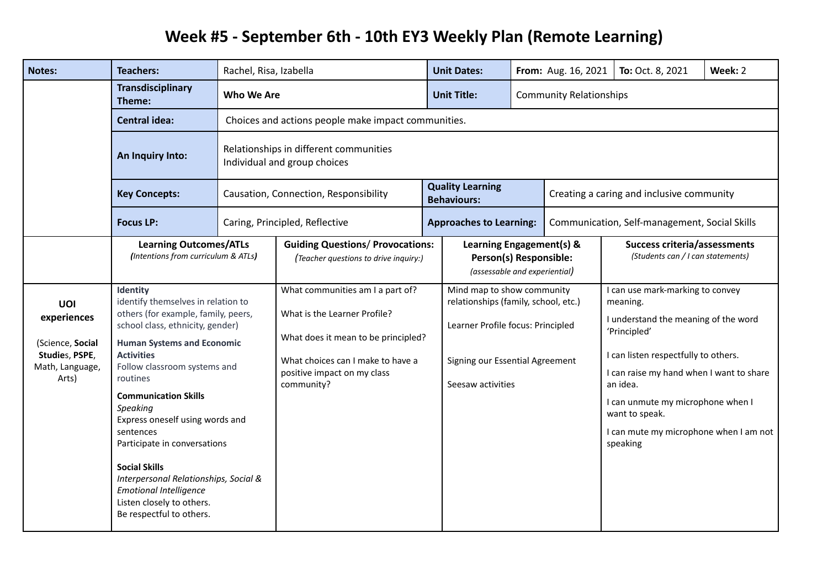## **Week #5 - September 6th - 10th EY3 Weekly Plan (Remote Learning)**

| <b>Notes:</b>                                                                        | <b>Teachers:</b>                                                                                                                                                                                                                                                                                                                                                                                                                                                                                                      | Rachel, Risa, Izabella                                                 |                                                                                                                                                                                           |  | <b>Unit Dates:</b>                                                                                                                                              |                                                                                     | From: Aug. 16, 2021                           | To: Oct. 8, 2021                                                                                                                                                                                                                                                                                                  | Week: 2 |
|--------------------------------------------------------------------------------------|-----------------------------------------------------------------------------------------------------------------------------------------------------------------------------------------------------------------------------------------------------------------------------------------------------------------------------------------------------------------------------------------------------------------------------------------------------------------------------------------------------------------------|------------------------------------------------------------------------|-------------------------------------------------------------------------------------------------------------------------------------------------------------------------------------------|--|-----------------------------------------------------------------------------------------------------------------------------------------------------------------|-------------------------------------------------------------------------------------|-----------------------------------------------|-------------------------------------------------------------------------------------------------------------------------------------------------------------------------------------------------------------------------------------------------------------------------------------------------------------------|---------|
|                                                                                      | <b>Transdisciplinary</b><br>Theme:                                                                                                                                                                                                                                                                                                                                                                                                                                                                                    | Who We Are                                                             |                                                                                                                                                                                           |  | <b>Unit Title:</b>                                                                                                                                              | <b>Community Relationships</b>                                                      |                                               |                                                                                                                                                                                                                                                                                                                   |         |
|                                                                                      | <b>Central idea:</b>                                                                                                                                                                                                                                                                                                                                                                                                                                                                                                  |                                                                        | Choices and actions people make impact communities.                                                                                                                                       |  |                                                                                                                                                                 |                                                                                     |                                               |                                                                                                                                                                                                                                                                                                                   |         |
|                                                                                      | An Inquiry Into:                                                                                                                                                                                                                                                                                                                                                                                                                                                                                                      | Relationships in different communities<br>Individual and group choices |                                                                                                                                                                                           |  |                                                                                                                                                                 |                                                                                     |                                               |                                                                                                                                                                                                                                                                                                                   |         |
|                                                                                      | <b>Key Concepts:</b>                                                                                                                                                                                                                                                                                                                                                                                                                                                                                                  |                                                                        | Causation, Connection, Responsibility                                                                                                                                                     |  | <b>Quality Learning</b><br><b>Behaviours:</b>                                                                                                                   |                                                                                     | Creating a caring and inclusive community     |                                                                                                                                                                                                                                                                                                                   |         |
|                                                                                      | <b>Focus LP:</b>                                                                                                                                                                                                                                                                                                                                                                                                                                                                                                      |                                                                        | Caring, Principled, Reflective                                                                                                                                                            |  | <b>Approaches to Learning:</b>                                                                                                                                  |                                                                                     | Communication, Self-management, Social Skills |                                                                                                                                                                                                                                                                                                                   |         |
|                                                                                      | <b>Learning Outcomes/ATLs</b><br>(Intentions from curriculum & ATLs)                                                                                                                                                                                                                                                                                                                                                                                                                                                  |                                                                        | <b>Guiding Questions/ Provocations:</b><br>(Teacher questions to drive inquiry:)                                                                                                          |  |                                                                                                                                                                 | Learning Engagement(s) &<br>Person(s) Responsible:<br>(assessable and experiential) |                                               | <b>Success criteria/assessments</b><br>(Students can / I can statements)                                                                                                                                                                                                                                          |         |
| UOI<br>experiences<br>(Science, Social<br>Studies, PSPE,<br>Math, Language,<br>Arts) | Identity<br>identify themselves in relation to<br>others (for example, family, peers,<br>school class, ethnicity, gender)<br><b>Human Systems and Economic</b><br><b>Activities</b><br>Follow classroom systems and<br>routines<br><b>Communication Skills</b><br>Speaking<br>Express oneself using words and<br>sentences<br>Participate in conversations<br><b>Social Skills</b><br>Interpersonal Relationships, Social &<br><b>Emotional Intelligence</b><br>Listen closely to others.<br>Be respectful to others. |                                                                        | What communities am I a part of?<br>What is the Learner Profile?<br>What does it mean to be principled?<br>What choices can I make to have a<br>positive impact on my class<br>community? |  | Mind map to show community<br>relationships (family, school, etc.)<br>Learner Profile focus: Principled<br>Signing our Essential Agreement<br>Seesaw activities |                                                                                     |                                               | I can use mark-marking to convey<br>meaning.<br>I understand the meaning of the word<br>'Principled'<br>I can listen respectfully to others.<br>I can raise my hand when I want to share<br>an idea.<br>I can unmute my microphone when I<br>want to speak.<br>I can mute my microphone when I am not<br>speaking |         |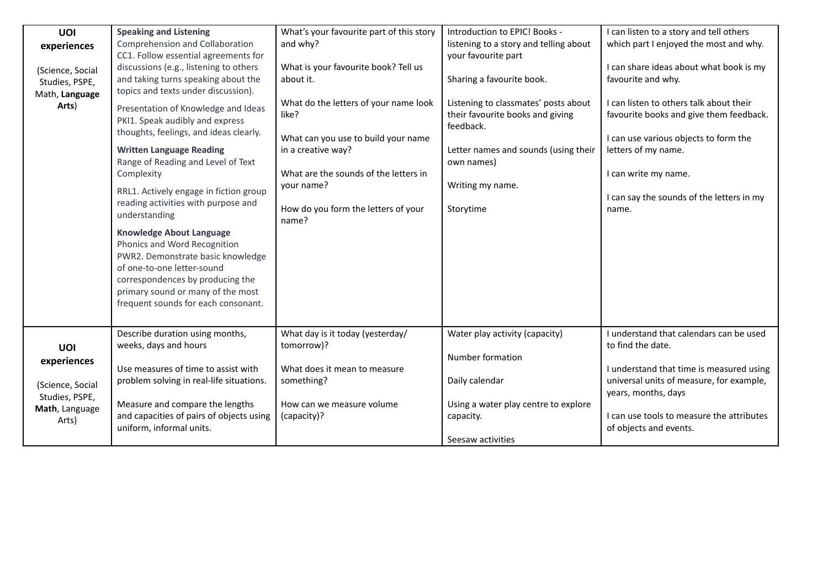| <b>UOI</b><br>experiences<br>(Science, Social<br>Studies, PSPE,<br>Math, Language<br>Arts) | <b>Speaking and Listening</b><br>Comprehension and Collaboration<br>CC1. Follow essential agreements for<br>discussions (e.g., listening to others<br>and taking turns speaking about the<br>topics and texts under discussion).<br>Presentation of Knowledge and Ideas<br>PKI1. Speak audibly and express<br>thoughts, feelings, and ideas clearly.<br><b>Written Language Reading</b><br>Range of Reading and Level of Text<br>Complexity<br>RRL1. Actively engage in fiction group<br>reading activities with purpose and<br>understanding<br><b>Knowledge About Language</b><br>Phonics and Word Recognition<br>PWR2. Demonstrate basic knowledge<br>of one-to-one letter-sound<br>correspondences by producing the<br>primary sound or many of the most<br>frequent sounds for each consonant. | What's your favourite part of this story<br>and why?<br>What is your favourite book? Tell us<br>about it.<br>What do the letters of your name look<br>like?<br>What can you use to build your name<br>in a creative way?<br>What are the sounds of the letters in<br>your name?<br>How do you form the letters of your<br>name? | Introduction to EPIC! Books -<br>listening to a story and telling about<br>your favourite part<br>Sharing a favourite book.<br>Listening to classmates' posts about<br>their favourite books and giving<br>feedback.<br>Letter names and sounds (using their<br>own names)<br>Writing my name.<br>Storytime | I can listen to a story and tell others<br>which part I enjoyed the most and why.<br>I can share ideas about what book is my<br>favourite and why.<br>I can listen to others talk about their<br>favourite books and give them feedback.<br>I can use various objects to form the<br>letters of my name.<br>I can write my name.<br>I can say the sounds of the letters in my<br>name. |
|--------------------------------------------------------------------------------------------|-----------------------------------------------------------------------------------------------------------------------------------------------------------------------------------------------------------------------------------------------------------------------------------------------------------------------------------------------------------------------------------------------------------------------------------------------------------------------------------------------------------------------------------------------------------------------------------------------------------------------------------------------------------------------------------------------------------------------------------------------------------------------------------------------------|---------------------------------------------------------------------------------------------------------------------------------------------------------------------------------------------------------------------------------------------------------------------------------------------------------------------------------|-------------------------------------------------------------------------------------------------------------------------------------------------------------------------------------------------------------------------------------------------------------------------------------------------------------|----------------------------------------------------------------------------------------------------------------------------------------------------------------------------------------------------------------------------------------------------------------------------------------------------------------------------------------------------------------------------------------|
| UOI<br>experiences<br>(Science, Social<br>Studies, PSPE,<br>Math, Language<br>Arts)        | Describe duration using months,<br>weeks, days and hours<br>Use measures of time to assist with<br>problem solving in real-life situations.<br>Measure and compare the lengths<br>and capacities of pairs of objects using<br>uniform, informal units.                                                                                                                                                                                                                                                                                                                                                                                                                                                                                                                                              | What day is it today (yesterday/<br>tomorrow)?<br>What does it mean to measure<br>something?<br>How can we measure volume<br>(capacity)?                                                                                                                                                                                        | Water play activity (capacity)<br>Number formation<br>Daily calendar<br>Using a water play centre to explore<br>capacity.<br>Seesaw activities                                                                                                                                                              | I understand that calendars can be used<br>to find the date.<br>I understand that time is measured using<br>universal units of measure, for example,<br>years, months, days<br>I can use tools to measure the attributes<br>of objects and events.                                                                                                                                     |